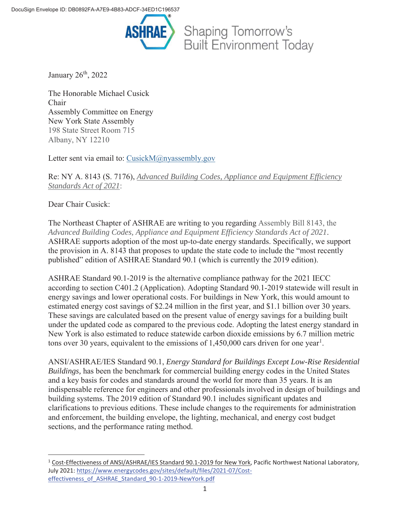

January  $26<sup>th</sup>$ , 2022

The Honorable Michael Cusick Chair Assembly Committee on Energy New York State Assembly 198 State Street Room 715 Albany, NY 12210

Letter sent via email to: CusickM@nyassembly.gov

Re: NY A. 8143 (S. 7176), *Advanced Building Codes, Appliance and Equipment Efficiency Standards Act of 2021*:

Dear Chair Cusick:

 $\overline{a}$ 

The Northeast Chapter of ASHRAE are writing to you regarding Assembly Bill 8143, the *Advanced Building Codes, Appliance and Equipment Efficiency Standards Act of 2021*. ASHRAE supports adoption of the most up-to-date energy standards. Specifically, we support the provision in A. 8143 that proposes to update the state code to include the "most recently published" edition of ASHRAE Standard 90.1 (which is currently the 2019 edition).

ASHRAE Standard 90.1-2019 is the alternative compliance pathway for the 2021 IECC according to section C401.2 (Application). Adopting Standard 90.1-2019 statewide will result in energy savings and lower operational costs. For buildings in New York, this would amount to estimated energy cost savings of \$2.24 million in the first year, and \$1.1 billion over 30 years. These savings are calculated based on the present value of energy savings for a building built under the updated code as compared to the previous code. Adopting the latest energy standard in New York is also estimated to reduce statewide carbon dioxide emissions by 6.7 million metric tons over 30 years, equivalent to the emissions of  $1,450,000$  cars driven for one year<sup>1</sup>.

ANSI/ASHRAE/IES Standard 90.1, *Energy Standard for Buildings Except Low-Rise Residential Buildings,* has been the benchmark for commercial building energy codes in the United States and a key basis for codes and standards around the world for more than 35 years. It is an indispensable reference for engineers and other professionals involved in design of buildings and building systems. The 2019 edition of Standard 90.1 includes significant updates and clarifications to previous editions. These include changes to the requirements for administration and enforcement, the building envelope, the lighting, mechanical, and energy cost budget sections, and the performance rating method.

<sup>&</sup>lt;sup>1</sup> Cost-Effectiveness of ANSI/ASHRAE/IES Standard 90.1-2019 for New York, Pacific Northwest National Laboratory, July 2021: https://www.energycodes.gov/sites/default/files/2021-07/Costeffectiveness\_of\_ASHRAE\_Standard\_90-1-2019-NewYork.pdf